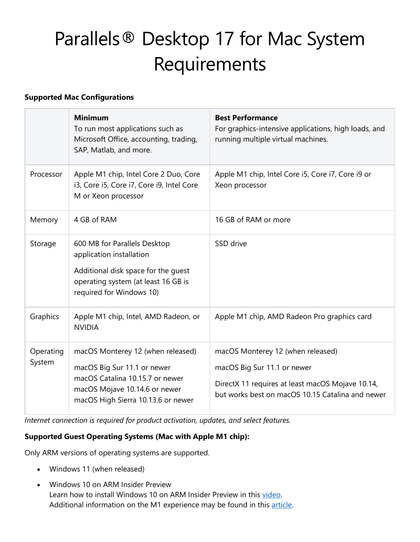# Parallels® Desktop 17 for Mac System Requirements

### **Supported Mac Configurations**

|                     | <b>Minimum</b><br>To run most applications such as<br>Microsoft Office, accounting, trading,<br>SAP, Matlab, and more.                                                     | <b>Best Performance</b><br>For graphics-intensive applications, high loads, and<br>running multiple virtual machines.                                                    |
|---------------------|----------------------------------------------------------------------------------------------------------------------------------------------------------------------------|--------------------------------------------------------------------------------------------------------------------------------------------------------------------------|
| Processor           | Apple M1 chip, Intel Core 2 Duo, Core<br>i3, Core i5, Core i7, Core i9, Intel Core<br>M or Xeon processor                                                                  | Apple M1 chip, Intel Core i5, Core i7, Core i9 or<br>Xeon processor                                                                                                      |
| Memory              | 4 GB of RAM                                                                                                                                                                | 16 GB of RAM or more                                                                                                                                                     |
| Storage             | 600 MB for Parallels Desktop<br>application installation<br>Additional disk space for the guest<br>operating system (at least 16 GB is<br>required for Windows 10)         | SSD drive                                                                                                                                                                |
| Graphics            | Apple M1 chip, Intel, AMD Radeon, or<br><b>NVIDIA</b>                                                                                                                      | Apple M1 chip, AMD Radeon Pro graphics card                                                                                                                              |
| Operating<br>System | macOS Monterey 12 (when released)<br>macOS Big Sur 11.1 or newer<br>macOS Catalina 10.15.7 or newer<br>macOS Mojave 10.14.6 or newer<br>macOS High Sierra 10.13.6 or newer | macOS Monterey 12 (when released)<br>macOS Big Sur 11.1 or newer<br>DirectX 11 requires at least macOS Mojave 10.14,<br>but works best on macOS 10.15 Catalina and newer |

*Internet connection is required for product activation, updates, and select features.*

## **Supported Guest Operating Systems (Mac with Apple M1 chip):**

Only ARM versions of operating systems are supported.

- Windows 11 (when released)
- Windows 10 on ARM Insider Preview Learn how to install Windows 10 on ARM Insider Preview in this [video.](https://www.youtube.com/embed/-DFdF6zIx-Y?start=86&rel=0) Additional information on the M1 experience may be found in this [article.](https://kb.parallels.com/eu/125375/)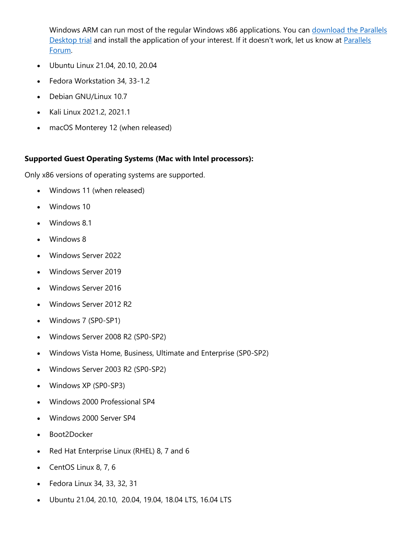Windows ARM can run most of the regular Windows x86 applications. You can download the Parallels [Desktop trial](https://www.parallels.com/products/desktop/trial/) and install the application of your interest. If it doesn't work, let us know at Parallels [Forum.](https://forum.parallels.com/forums/parallels-desktop-for-mac-feature-suggestions.769/)

- Ubuntu Linux 21.04, 20.10, 20.04
- Fedora Workstation 34, 33-1.2
- Debian GNU/Linux 10.7
- Kali Linux 2021.2, 2021.1
- macOS Monterey 12 (when released)

#### **Supported Guest Operating Systems (Mac with Intel processors):**

Only x86 versions of operating systems are supported.

- Windows 11 (when released)
- Windows 10
- Windows 8.1
- Windows 8
- Windows Server 2022
- Windows Server 2019
- Windows Server 2016
- Windows Server 2012 R2
- Windows 7 (SP0-SP1)
- Windows Server 2008 R2 (SP0-SP2)
- Windows Vista Home, Business, Ultimate and Enterprise (SP0-SP2)
- Windows Server 2003 R2 (SP0-SP2)
- Windows XP (SP0-SP3)
- Windows 2000 Professional SP4
- Windows 2000 Server SP4
- Boot2Docker
- Red Hat Enterprise Linux (RHEL) 8, 7 and 6
- CentOS Linux 8, 7, 6
- Fedora Linux 34, 33, 32, 31
- Ubuntu 21.04, 20.10, 20.04, 19.04, 18.04 LTS, 16.04 LTS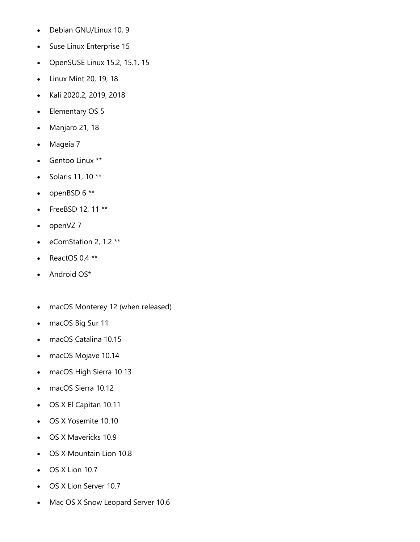- Debian GNU/Linux 10, 9
- Suse Linux Enterprise 15
- OpenSUSE Linux 15.2, 15.1, 15
- Linux Mint 20, 19, 18
- Kali 2020.2, 2019, 2018
- Elementary OS 5
- Manjaro 21, 18
- Mageia 7
- Gentoo Linux \*\*
- Solaris 11, 10 \*\*
- openBSD  $6**$
- FreeBSD 12, 11 \*\*
- openVZ 7
- eComStation 2, 1.2 \*\*
- ReactOS 0.4 \*\*
- Android OS\*
- macOS Monterey 12 (when released)
- macOS Big Sur 11
- macOS Catalina 10.15
- macOS Mojave 10.14
- macOS High Sierra 10.13
- macOS Sierra 10.12
- OS X El Capitan 10.11
- OS X Yosemite 10.10
- OS X Mavericks 10.9
- OS X Mountain Lion 10.8
- OS X Lion 10.7
- OS X Lion Server 10.7
- Mac OS X Snow Leopard Server 10.6